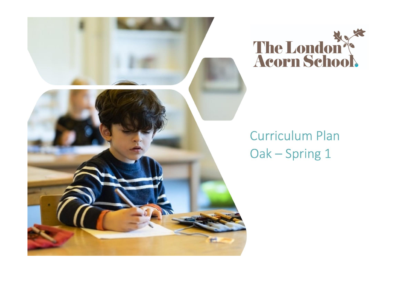



## **Curriculum Plan** Oak - Spring 1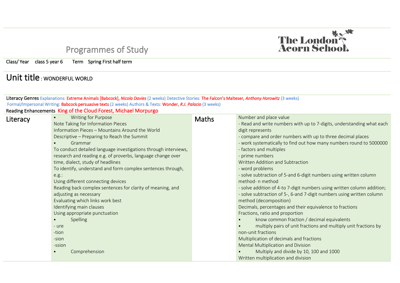## Programmes of Study

Literacy Genres Explanations: Extreme Animals [Babcock], *Nicola Davies* (2 weeks) Detective Stories: The Falcon's Malteser, *Anthony Horowitz* (3 weeks)

Class/ Year class 5 year 6 Term Spring First half term

## Unit title : WONDERFUL WORLD

| Reading Enhancements King of the Cloud Forest, Michael Morpurgo<br>Number and place value<br><b>Writing for Purpose</b><br>$\bullet$<br>Literacy<br>Maths<br>Note Taking for Information Pieces<br>Information Pieces - Mountains Around the World<br>digit represents<br>- compare and order numbers with up to three decimal places<br>Descriptive - Preparing to Reach the Summit<br>- work systematically to find out how many numbers round to 5000000<br>Grammar<br>To conduct detailed language investigations through interviews,<br>- factors and multiples<br>- prime numbers<br>research and reading e.g. of proverbs, language change over<br>time, dialect, study of headlines<br>Written Addition and Subtraction<br>To identify, understand and form complex sentences through,<br>- word problems<br>- solve subtraction of 5-and 6-digit numbers using written column<br>e.g.:<br>Using different connecting devices<br>method- n method<br>Reading back complex sentences for clarity of meaning, and<br>- solve addition of 4-to 7-digit numbers using written column addition;<br>adjusting as necessary<br>- solve subtraction of 5-, 6-and 7-digit numbers using written column<br>Evaluating which links work best<br>method (decomposition)<br>Identifying main clauses<br>Decimals, percentages and their equivalence to fractions<br>Fractions, ratio and proportion<br>Using appropriate punctuation<br>know common fraction / decimal equivalents<br><b>Spelling</b><br>multiply pairs of unit fractions and multiply unit fractions by<br>- ure<br>non-unit fractions<br>-tion<br>Multiplication of decimals and fractions<br>-sion<br>Mental Multiplication and Division<br>-ssion<br>Multiply and divide by 10, 100 and 1000<br>Comprehension<br>$\bullet$<br>Written multiplication and division | Formal/Impersonal Writing: Babcock persuasive texts (2 weeks) Authors & Texts: Wonder, R.J. Palacio (3 weeks) |                                                                       |
|----------------------------------------------------------------------------------------------------------------------------------------------------------------------------------------------------------------------------------------------------------------------------------------------------------------------------------------------------------------------------------------------------------------------------------------------------------------------------------------------------------------------------------------------------------------------------------------------------------------------------------------------------------------------------------------------------------------------------------------------------------------------------------------------------------------------------------------------------------------------------------------------------------------------------------------------------------------------------------------------------------------------------------------------------------------------------------------------------------------------------------------------------------------------------------------------------------------------------------------------------------------------------------------------------------------------------------------------------------------------------------------------------------------------------------------------------------------------------------------------------------------------------------------------------------------------------------------------------------------------------------------------------------------------------------------------------------------------------------------------------------------------------------------------------------------------------------|---------------------------------------------------------------------------------------------------------------|-----------------------------------------------------------------------|
|                                                                                                                                                                                                                                                                                                                                                                                                                                                                                                                                                                                                                                                                                                                                                                                                                                                                                                                                                                                                                                                                                                                                                                                                                                                                                                                                                                                                                                                                                                                                                                                                                                                                                                                                                                                                                                  |                                                                                                               |                                                                       |
|                                                                                                                                                                                                                                                                                                                                                                                                                                                                                                                                                                                                                                                                                                                                                                                                                                                                                                                                                                                                                                                                                                                                                                                                                                                                                                                                                                                                                                                                                                                                                                                                                                                                                                                                                                                                                                  |                                                                                                               |                                                                       |
|                                                                                                                                                                                                                                                                                                                                                                                                                                                                                                                                                                                                                                                                                                                                                                                                                                                                                                                                                                                                                                                                                                                                                                                                                                                                                                                                                                                                                                                                                                                                                                                                                                                                                                                                                                                                                                  |                                                                                                               | - Read and write numbers with up to 7-digits, understanding what each |
|                                                                                                                                                                                                                                                                                                                                                                                                                                                                                                                                                                                                                                                                                                                                                                                                                                                                                                                                                                                                                                                                                                                                                                                                                                                                                                                                                                                                                                                                                                                                                                                                                                                                                                                                                                                                                                  |                                                                                                               |                                                                       |
|                                                                                                                                                                                                                                                                                                                                                                                                                                                                                                                                                                                                                                                                                                                                                                                                                                                                                                                                                                                                                                                                                                                                                                                                                                                                                                                                                                                                                                                                                                                                                                                                                                                                                                                                                                                                                                  |                                                                                                               |                                                                       |
|                                                                                                                                                                                                                                                                                                                                                                                                                                                                                                                                                                                                                                                                                                                                                                                                                                                                                                                                                                                                                                                                                                                                                                                                                                                                                                                                                                                                                                                                                                                                                                                                                                                                                                                                                                                                                                  |                                                                                                               |                                                                       |
|                                                                                                                                                                                                                                                                                                                                                                                                                                                                                                                                                                                                                                                                                                                                                                                                                                                                                                                                                                                                                                                                                                                                                                                                                                                                                                                                                                                                                                                                                                                                                                                                                                                                                                                                                                                                                                  |                                                                                                               |                                                                       |
|                                                                                                                                                                                                                                                                                                                                                                                                                                                                                                                                                                                                                                                                                                                                                                                                                                                                                                                                                                                                                                                                                                                                                                                                                                                                                                                                                                                                                                                                                                                                                                                                                                                                                                                                                                                                                                  |                                                                                                               |                                                                       |
|                                                                                                                                                                                                                                                                                                                                                                                                                                                                                                                                                                                                                                                                                                                                                                                                                                                                                                                                                                                                                                                                                                                                                                                                                                                                                                                                                                                                                                                                                                                                                                                                                                                                                                                                                                                                                                  |                                                                                                               |                                                                       |
|                                                                                                                                                                                                                                                                                                                                                                                                                                                                                                                                                                                                                                                                                                                                                                                                                                                                                                                                                                                                                                                                                                                                                                                                                                                                                                                                                                                                                                                                                                                                                                                                                                                                                                                                                                                                                                  |                                                                                                               |                                                                       |
|                                                                                                                                                                                                                                                                                                                                                                                                                                                                                                                                                                                                                                                                                                                                                                                                                                                                                                                                                                                                                                                                                                                                                                                                                                                                                                                                                                                                                                                                                                                                                                                                                                                                                                                                                                                                                                  |                                                                                                               |                                                                       |
|                                                                                                                                                                                                                                                                                                                                                                                                                                                                                                                                                                                                                                                                                                                                                                                                                                                                                                                                                                                                                                                                                                                                                                                                                                                                                                                                                                                                                                                                                                                                                                                                                                                                                                                                                                                                                                  |                                                                                                               |                                                                       |
|                                                                                                                                                                                                                                                                                                                                                                                                                                                                                                                                                                                                                                                                                                                                                                                                                                                                                                                                                                                                                                                                                                                                                                                                                                                                                                                                                                                                                                                                                                                                                                                                                                                                                                                                                                                                                                  |                                                                                                               |                                                                       |
|                                                                                                                                                                                                                                                                                                                                                                                                                                                                                                                                                                                                                                                                                                                                                                                                                                                                                                                                                                                                                                                                                                                                                                                                                                                                                                                                                                                                                                                                                                                                                                                                                                                                                                                                                                                                                                  |                                                                                                               |                                                                       |
|                                                                                                                                                                                                                                                                                                                                                                                                                                                                                                                                                                                                                                                                                                                                                                                                                                                                                                                                                                                                                                                                                                                                                                                                                                                                                                                                                                                                                                                                                                                                                                                                                                                                                                                                                                                                                                  |                                                                                                               |                                                                       |
|                                                                                                                                                                                                                                                                                                                                                                                                                                                                                                                                                                                                                                                                                                                                                                                                                                                                                                                                                                                                                                                                                                                                                                                                                                                                                                                                                                                                                                                                                                                                                                                                                                                                                                                                                                                                                                  |                                                                                                               |                                                                       |
|                                                                                                                                                                                                                                                                                                                                                                                                                                                                                                                                                                                                                                                                                                                                                                                                                                                                                                                                                                                                                                                                                                                                                                                                                                                                                                                                                                                                                                                                                                                                                                                                                                                                                                                                                                                                                                  |                                                                                                               |                                                                       |
|                                                                                                                                                                                                                                                                                                                                                                                                                                                                                                                                                                                                                                                                                                                                                                                                                                                                                                                                                                                                                                                                                                                                                                                                                                                                                                                                                                                                                                                                                                                                                                                                                                                                                                                                                                                                                                  |                                                                                                               |                                                                       |
|                                                                                                                                                                                                                                                                                                                                                                                                                                                                                                                                                                                                                                                                                                                                                                                                                                                                                                                                                                                                                                                                                                                                                                                                                                                                                                                                                                                                                                                                                                                                                                                                                                                                                                                                                                                                                                  |                                                                                                               |                                                                       |
|                                                                                                                                                                                                                                                                                                                                                                                                                                                                                                                                                                                                                                                                                                                                                                                                                                                                                                                                                                                                                                                                                                                                                                                                                                                                                                                                                                                                                                                                                                                                                                                                                                                                                                                                                                                                                                  |                                                                                                               |                                                                       |
|                                                                                                                                                                                                                                                                                                                                                                                                                                                                                                                                                                                                                                                                                                                                                                                                                                                                                                                                                                                                                                                                                                                                                                                                                                                                                                                                                                                                                                                                                                                                                                                                                                                                                                                                                                                                                                  |                                                                                                               |                                                                       |
|                                                                                                                                                                                                                                                                                                                                                                                                                                                                                                                                                                                                                                                                                                                                                                                                                                                                                                                                                                                                                                                                                                                                                                                                                                                                                                                                                                                                                                                                                                                                                                                                                                                                                                                                                                                                                                  |                                                                                                               |                                                                       |
|                                                                                                                                                                                                                                                                                                                                                                                                                                                                                                                                                                                                                                                                                                                                                                                                                                                                                                                                                                                                                                                                                                                                                                                                                                                                                                                                                                                                                                                                                                                                                                                                                                                                                                                                                                                                                                  |                                                                                                               |                                                                       |
|                                                                                                                                                                                                                                                                                                                                                                                                                                                                                                                                                                                                                                                                                                                                                                                                                                                                                                                                                                                                                                                                                                                                                                                                                                                                                                                                                                                                                                                                                                                                                                                                                                                                                                                                                                                                                                  |                                                                                                               |                                                                       |

The London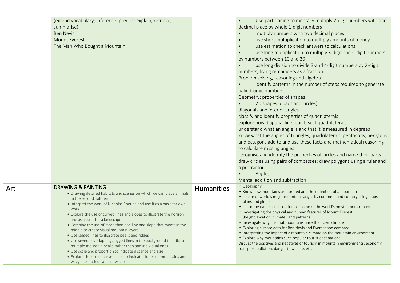| <b>DRAWING &amp; PAINTING</b><br>• Drawing detailed habitats and scenes on which we can place animals<br>in the second half term.<br>• Interpret the work of Nicholas Roerich and use it as a basis for own<br>work<br>• Explore the use of curved lines and slopes to illustrate the horizon<br>line as a basis for a landscape<br>• Combine the use of more than one line and slope that meets in the<br>middle to create visual mountain layers<br>• Use jagged lines to illustrate peaks and ridges<br>• Use several overlapping, jagged lines in the background to indicate | <b>Humanities</b> | understand what an angle is and that it is measured in degrees<br>know what the angles of triangles, quadrilaterals, pentagons, hexagons<br>and octagons add to and use these facts and mathematical reasoning<br>to calculate missing angles<br>recognise and identify the properties of circles and name their parts<br>draw circles using pairs of compasses; draw polygons using a ruler and<br>a protractor<br>Angles<br>Mental addition and subtraction<br>• Geography<br>• Know how mountains are formed and the definition of a mountain<br>• Locate of world's major mountain ranges by continent and country using maps,<br>plans and globes<br>• Learn the names and locations of some of the world's most famous mountains<br>• Investigating the physical and human features of Mount Everest<br>(height, location, climate, land patterns)<br>• Investigate why it is that mountains have their own climate<br>• Exploring climate data for Ben Nevis and Everest and compare<br>• Interpreting the impact of a mountain climate on the mountain environment<br>• Explore why mountains such popular tourist destinations |
|----------------------------------------------------------------------------------------------------------------------------------------------------------------------------------------------------------------------------------------------------------------------------------------------------------------------------------------------------------------------------------------------------------------------------------------------------------------------------------------------------------------------------------------------------------------------------------|-------------------|-----------------------------------------------------------------------------------------------------------------------------------------------------------------------------------------------------------------------------------------------------------------------------------------------------------------------------------------------------------------------------------------------------------------------------------------------------------------------------------------------------------------------------------------------------------------------------------------------------------------------------------------------------------------------------------------------------------------------------------------------------------------------------------------------------------------------------------------------------------------------------------------------------------------------------------------------------------------------------------------------------------------------------------------------------------------------------------------------------------------------------------------|
| (extend vocabulary; inference; predict; explain; retrieve;<br>summarise)<br><b>Ben Nevis</b><br><b>Mount Everest</b><br>The Man Who Bought a Mountain                                                                                                                                                                                                                                                                                                                                                                                                                            |                   | Use partitioning to mentally multiply 2-digit numbers with one<br>$\bullet$<br>decimal place by whole 1-digit numbers<br>multiply numbers with two decimal places<br>$\bullet$<br>use short multiplication to multiply amounts of money<br>use estimation to check answers to calculations<br>use long multiplication to multiply 3-digit and 4-digit numbers<br>by numbers between 10 and 30<br>use long division to divide 3-and 4-digit numbers by 2-digit<br>numbers, fiving remainders as a fraction<br>Problem solving, reasoning and algebra<br>identify patterns in the number of steps required to generate<br>palindromic numbers;<br>Geometry: properties of shapes<br>2D shapes (quads and circles)<br>diagonals and interior angles<br>classify and identify properties of quadrilaterals<br>explore how diagonal lines can bisect quadrilaterals                                                                                                                                                                                                                                                                          |

Art

 $\sim$ 

 $\overline{a}$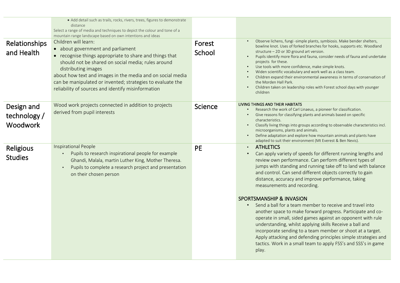| Relationships<br>and Health                   | · Add detail such as trails, rocks, rivers, trees, figures to demonstrate<br>distance<br>Select a range of media and techniques to depict the colour and tone of a<br>mountain range landscape based on own intentions and ideas<br>Children will learn:<br>• about government and parliament<br>• recognise things appropriate to share and things that<br>should not be shared on social media; rules around<br>distributing images<br>about how text and images in the media and on social media<br>can be manipulated or invented; strategies to evaluate the<br>reliability of sources and identify misinformation | Forest<br>School | Observe lichens, fungi -simple plants, symbiosis. Make bender shelters,<br>bowline knot. Uses of forked branches for hooks, supports etc. Woodland<br>structure - 2D or 3D ground art version.<br>Pupils identify more flora and fauna, consider needs of fauna and undertake<br>projects for these.<br>Use tools with more confidence, make simple knots.<br>Widen scientific vocabulary and work well as a class team.<br>Children expand their environmental awareness in terms of conservation of<br>the Morden Hall Park.<br>Children taken on leadership roles with Forest school days with younger<br>children                                                                                                                                                                                                                                                  |
|-----------------------------------------------|-------------------------------------------------------------------------------------------------------------------------------------------------------------------------------------------------------------------------------------------------------------------------------------------------------------------------------------------------------------------------------------------------------------------------------------------------------------------------------------------------------------------------------------------------------------------------------------------------------------------------|------------------|------------------------------------------------------------------------------------------------------------------------------------------------------------------------------------------------------------------------------------------------------------------------------------------------------------------------------------------------------------------------------------------------------------------------------------------------------------------------------------------------------------------------------------------------------------------------------------------------------------------------------------------------------------------------------------------------------------------------------------------------------------------------------------------------------------------------------------------------------------------------|
| Design and<br>technology /<br><b>Woodwork</b> | Wood work projects connected in addition to projects<br>derived from pupil interests                                                                                                                                                                                                                                                                                                                                                                                                                                                                                                                                    | Science          | LIVING THINGS AND THEIR HABITATS<br>Research the work of Carl Linaeus, a pioneer for classification.<br>Give reasons for classifying plants and animals based on specific<br>characteristics.<br>Classify living things into groups according to observable characteristics incl.<br>$\bullet$<br>microorganisms, plants and animals.<br>Define adaptation and explore how mountain animals and plants have<br>$\bullet$<br>adapted to suit their environment (Mt Everest & Ben Nevis).                                                                                                                                                                                                                                                                                                                                                                                |
| Religious<br><b>Studies</b>                   | <b>Inspirational People</b><br>Pupils to research inspirational people for example<br>Ghandi, Malala, martin Luther King, Mother Theresa.<br>Pupils to complete a research project and presentation<br>$\bullet$<br>on their chosen person                                                                                                                                                                                                                                                                                                                                                                              | <b>PE</b>        | <b>ATHLETICS</b><br>Can apply variety of speeds for different running lengths and<br>review own performance. Can perform different types of<br>jumps with standing and running take off to land with balance<br>and control. Can send different objects correctly to gain<br>distance, accuracy and improve performance, taking<br>measurements and recording.<br><b>SPORTSMANSHIP &amp; INVASION</b><br>Send a ball for a team member to receive and travel into<br>another space to make forward progress. Participate and co-<br>operate in small, sided games against an opponent with rule<br>understanding, whilst applying skills Receive a ball and<br>incorporate sending to a team member or shoot at a target.<br>Apply attacking and defending principles simple strategies and<br>tactics. Work in a small team to apply FSS's and SSS's in game<br>play. |